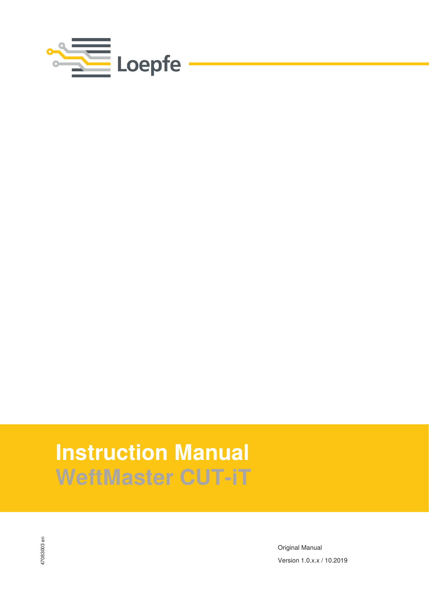

# **Instruction Manual WeftMaster CUT-iT**

Original Manual Version 1.0.x.x / 10.2019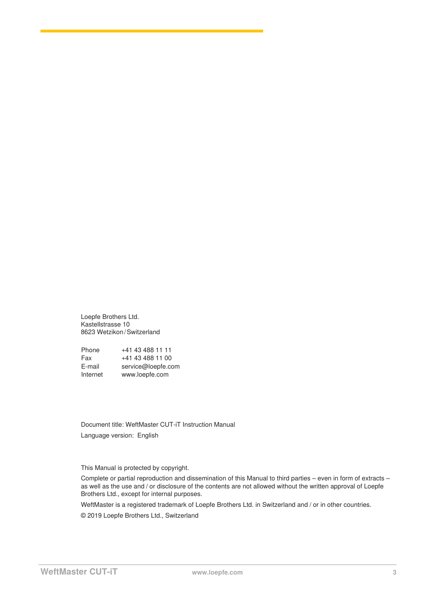Loepfe Brothers Ltd. Kastellstrasse 10 8623 Wetzikon / Switzerland

Phone +41 43 488 11 11 Fax +41 43 488 11 00 E-mail service@loepfe.com Internet www.loepfe.com

Document title: WeftMaster CUT-iT Instruction Manual Language version: English

This Manual is protected by copyright.

Complete or partial reproduction and dissemination of this Manual to third parties – even in form of extracts – as well as the use and / or disclosure of the contents are not allowed without the written approval of Loepfe Brothers Ltd., except for internal purposes.

WeftMaster is a registered trademark of Loepfe Brothers Ltd. in Switzerland and / or in other countries.

© 2019 Loepfe Brothers Ltd., Switzerland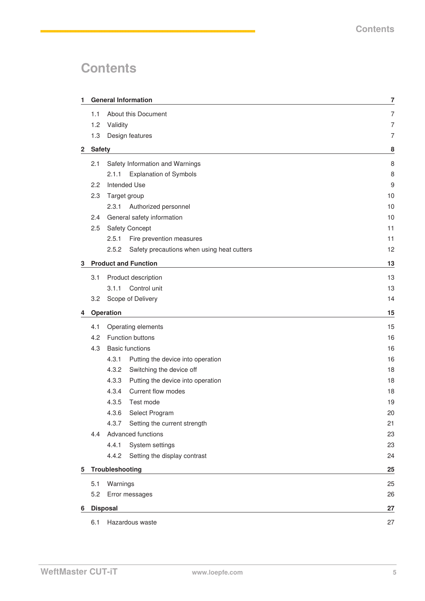## **Contents**

| 1                         |               | <b>General Information</b>                                                          | 7  |
|---------------------------|---------------|-------------------------------------------------------------------------------------|----|
|                           | 1.1           | About this Document                                                                 | 7  |
|                           | 1.2           | Validity                                                                            | 7  |
|                           | 1.3           | Design features                                                                     | 7  |
| $\mathbf{2}$              | <b>Safety</b> |                                                                                     | 8  |
|                           | 2.1           | Safety Information and Warnings                                                     | 8  |
|                           |               | <b>Explanation of Symbols</b><br>2.1.1                                              | 8  |
|                           | 2.2           | <b>Intended Use</b>                                                                 | 9  |
|                           | 2.3           | Target group                                                                        | 10 |
|                           |               | 2.3.1<br>Authorized personnel                                                       | 10 |
|                           | 2.4           | General safety information                                                          | 10 |
|                           | 2.5           | Safety Concept                                                                      | 11 |
|                           |               | 2.5.1<br>Fire prevention measures                                                   | 11 |
|                           |               | Safety precautions when using heat cutters<br>2.5.2                                 | 12 |
| 3                         |               | <b>Product and Function</b>                                                         | 13 |
|                           | 3.1           | Product description                                                                 | 13 |
|                           |               | 3.1.1<br>Control unit                                                               | 13 |
|                           | 3.2           | Scope of Delivery                                                                   | 14 |
| 4                         |               | Operation                                                                           | 15 |
| 4.1<br>Operating elements |               | 15                                                                                  |    |
|                           | 4.2           | Function buttons                                                                    | 16 |
|                           | 4.3           | <b>Basic functions</b>                                                              | 16 |
|                           |               | 4.3.1<br>Putting the device into operation                                          | 16 |
|                           |               | 4.3.2<br>Switching the device off                                                   | 18 |
|                           |               | 4.3.3<br>Putting the device into operation                                          | 18 |
|                           |               | 4.3.4<br>Current flow modes                                                         | 18 |
|                           |               | 4.3.5<br>Test mode                                                                  | 19 |
|                           |               | 4.3.6<br>Select Program                                                             | 20 |
|                           |               | Setting the current strength<br>4.3.7                                               | 21 |
|                           |               | 4.4 Advanced functions                                                              | 23 |
|                           |               | System settings<br>4.4.1                                                            | 23 |
|                           |               | 4.4.2 Setting the display contrast                                                  | 24 |
| 5                         |               | <b>Troubleshooting</b><br><u> 1980 - John Stein, Amerikaansk politiker (* 1918)</u> | 25 |
|                           | 5.1           | Warnings                                                                            | 25 |
|                           | 5.2           | Error messages                                                                      | 26 |
| 6                         |               | <b>Disposal</b>                                                                     | 27 |
|                           | 6.1           | Hazardous waste                                                                     | 27 |
|                           |               |                                                                                     |    |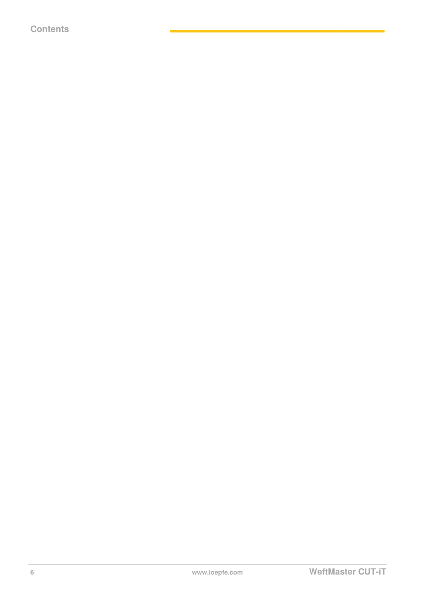**Contents**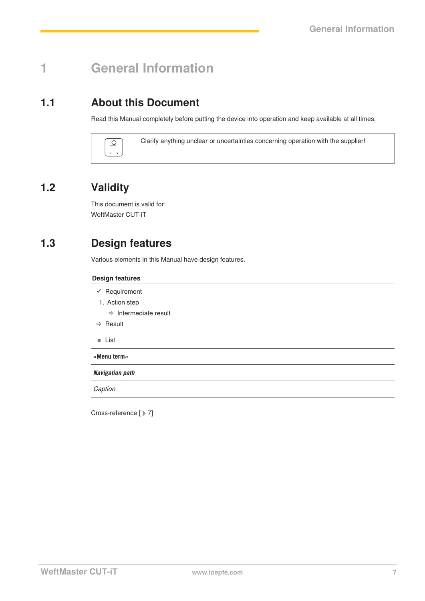## **1 General Information**

### **1.1 About this Document**

Read this Manual completely before putting the device into operation and keep available at all times.



Clarify anything unclear or uncertainties concerning operation with the supplier!

## **1.2 Validity**

This document is valid for: WeftMaster CUT-iT

### **1.3 Design features**

Various elements in this Manual have design features.

#### **Design features**

- $\checkmark$  Requirement
- 1. Action step
	- $\Rightarrow$  Intermediate result
- ð Result
- n List

**«Menu term»**

*Navigation path*

**Caption** 

Cross-reference [ $\triangleright$  7]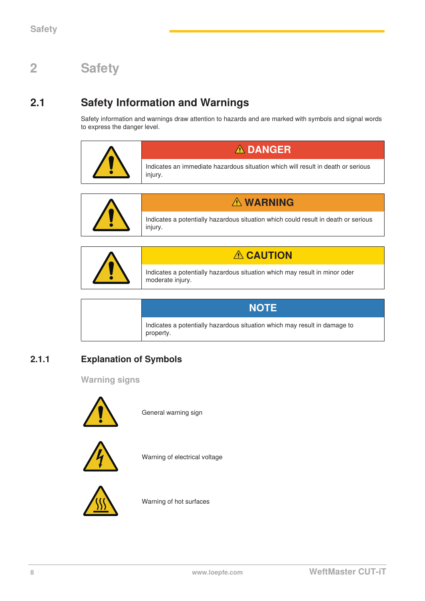## **2 Safety**

## **2.1 Safety Information and Warnings**

Safety information and warnings draw attention to hazards and are marked with symbols and signal words to express the danger level.

| <b>A DANGER</b>                                                                               |
|-----------------------------------------------------------------------------------------------|
| Indicates an immediate hazardous situation which will result in death or serious<br>injury.   |
|                                                                                               |
| <b>△ WARNING</b>                                                                              |
| Indicates a potentially hazardous situation which could result in death or serious<br>injury. |
|                                                                                               |
| <b>CAUTION</b>                                                                                |



### **CAUTION**

Indicates a potentially hazardous situation which may result in minor oder moderate injury.

| <b>NOTE</b>                                                                            |
|----------------------------------------------------------------------------------------|
| Indicates a potentially hazardous situation which may result in damage to<br>property. |

### **2.1.1 Explanation of Symbols**

**Warning signs**



General warning sign



Warning of electrical voltage



Warning of hot surfaces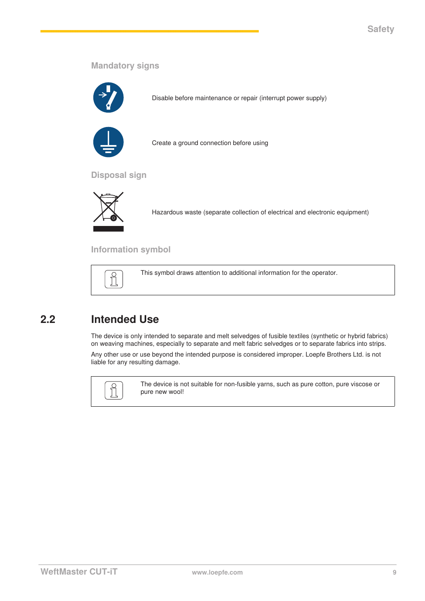### **Mandatory signs**



Disable before maintenance or repair (interrupt power supply)



Create a ground connection before using

#### **Disposal sign**



Hazardous waste (separate collection of electrical and electronic equipment)

**Information symbol**



This symbol draws attention to additional information for the operator.

### **2.2 Intended Use**

The device is only intended to separate and melt selvedges of fusible textiles (synthetic or hybrid fabrics) on weaving machines, especially to separate and melt fabric selvedges or to separate fabrics into strips.

Any other use or use beyond the intended purpose is considered improper. Loepfe Brothers Ltd. is not liable for any resulting damage.



The device is not suitable for non-fusible yarns, such as pure cotton, pure viscose or pure new wool!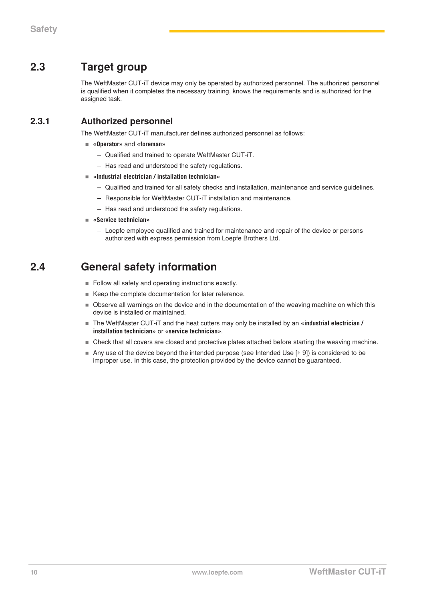### **2.3 Target group**

The WeftMaster CUT-iT device may only be operated by authorized personnel. The authorized personnel is qualified when it completes the necessary training, knows the requirements and is authorized for the assigned task.

### **2.3.1 Authorized personnel**

The WeftMaster CUT-iT manufacturer defines authorized personnel as follows:

- n **«Operator»** and **«foreman»**
	- Qualified and trained to operate WeftMaster CUT-iT.
	- Has read and understood the safety regulations.
- n **«Industrial electrician / installation technician»**
	- Qualified and trained for all safety checks and installation, maintenance and service guidelines.
	- Responsible for WeftMaster CUT-iT installation and maintenance.
	- Has read and understood the safety regulations.
- «Service technician»
	- Loepfe employee qualified and trained for maintenance and repair of the device or persons authorized with express permission from Loepfe Brothers Ltd.

### **2.4 General safety information**

- Follow all safety and operating instructions exactly.
- Keep the complete documentation for later reference.
- n Observe all warnings on the device and in the documentation of the weaving machine on which this device is installed or maintained.
- The WeftMaster CUT-iT and the heat cutters may only be installed by an «industrial electrician / **installation technician»** or **«service technician»**.
- n Check that all covers are closed and protective plates attached before starting the weaving machine.
- $\blacksquare$  Any use of the device beyond the intended purpose (see Intended Use  $[\blacktriangleright 9]$ ) is considered to be improper use. In this case, the protection provided by the device cannot be guaranteed.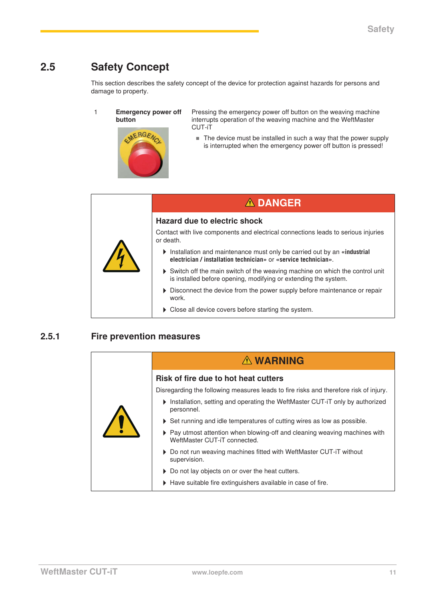## **2.5 Safety Concept**

This section describes the safety concept of the device for protection against hazards for persons and damage to property.

1 **Emergency power off button**



- Pressing the emergency power off button on the weaving machine interrupts operation of the weaving machine and the WeftMaster CUT-iT
- $\blacksquare$  The device must be installed in such a way that the power supply is interrupted when the emergency power off button is pressed!

| <b>A DANGER</b>                                                                                                                                |
|------------------------------------------------------------------------------------------------------------------------------------------------|
| <b>Hazard due to electric shock</b>                                                                                                            |
| Contact with live components and electrical connections leads to serious injuries<br>or death.                                                 |
| Installation and maintenance must only be carried out by an «industrial<br>electrician / installation technician» or «service technician».     |
| Switch off the main switch of the weaving machine on which the control unit<br>is installed before opening, modifying or extending the system. |
| • Disconnect the device from the power supply before maintenance or repair<br>work.                                                            |
| ▶ Close all device covers before starting the system.                                                                                          |

### **2.5.1 Fire prevention measures**

| <b>A WARNING</b>                                                                                           |
|------------------------------------------------------------------------------------------------------------|
| <b>Risk of fire due to hot heat cutters</b>                                                                |
| Disregarding the following measures leads to fire risks and therefore risk of injury.                      |
| Installation, setting and operating the WeftMaster CUT-iT only by authorized<br>personnel.                 |
| Set running and idle temperatures of cutting wires as low as possible.                                     |
| ▶ Pay utmost attention when blowing-off and cleaning weaving machines with<br>WeftMaster CUT-iT connected. |
| ▶ Do not run weaving machines fitted with WeftMaster CUT-iT without<br>supervision.                        |
| ▶ Do not lay objects on or over the heat cutters.                                                          |
| Have suitable fire extinguishers available in case of fire.                                                |
|                                                                                                            |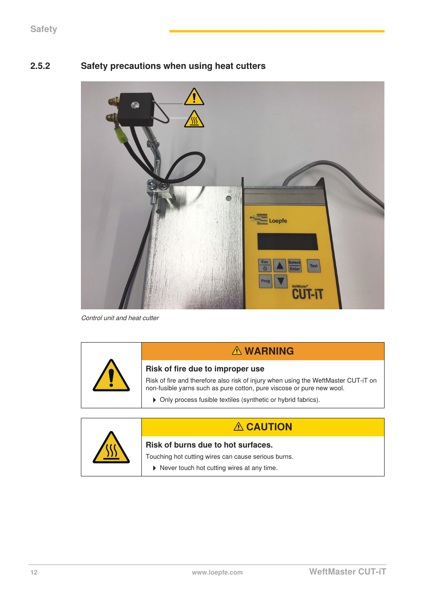

### **2.5.2 Safety precautions when using heat cutters**

Control unit and heat cutter





### **CAUTION**

#### **Risk of burns due to hot surfaces.**

Touching hot cutting wires can cause serious burns.

 $\blacktriangleright$  Never touch hot cutting wires at any time.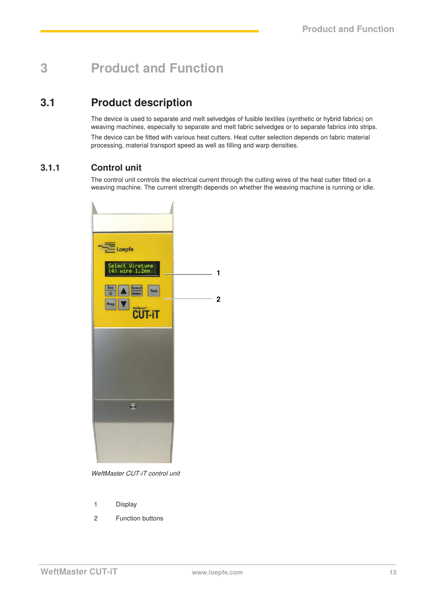## **3 Product and Function**

## **3.1 Product description**

The device is used to separate and melt selvedges of fusible textiles (synthetic or hybrid fabrics) on weaving machines, especially to separate and melt fabric selvedges or to separate fabrics into strips. The device can be fitted with various heat cutters. Heat cutter selection depends on fabric material processing, material transport speed as well as filling and warp densities.

### **3.1.1 Control unit**

The control unit controls the electrical current through the cutting wires of the heat cutter fitted on a weaving machine. The current strength depends on whether the weaving machine is running or idle.



WeftMaster CUT-iT control unit

- 1 Display
- 2 Function buttons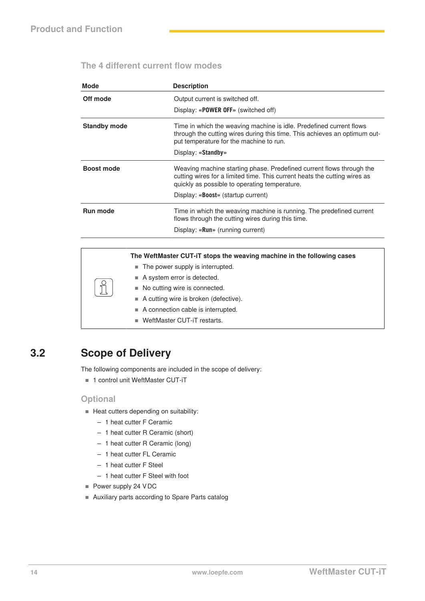#### **The 4 different current flow modes**

| <b>Mode</b>         | <b>Description</b>                                                                                                                                                                                 |
|---------------------|----------------------------------------------------------------------------------------------------------------------------------------------------------------------------------------------------|
| Off mode            | Output current is switched off.                                                                                                                                                                    |
|                     | Display: «POWER OFF» (switched off)                                                                                                                                                                |
| <b>Standby mode</b> | Time in which the weaving machine is idle. Predefined current flows<br>through the cutting wires during this time. This achieves an optimum out-<br>put temperature for the machine to run.        |
|                     | Display: «Standby»                                                                                                                                                                                 |
| <b>Boost mode</b>   | Weaving machine starting phase. Predefined current flows through the<br>cutting wires for a limited time. This current heats the cutting wires as<br>quickly as possible to operating temperature. |
|                     | Display: « <b>Boost</b> » (startup current)                                                                                                                                                        |
| <b>Run mode</b>     | Time in which the weaving machine is running. The predefined current<br>flows through the cutting wires during this time.                                                                          |
|                     | Display: « <b>Run</b> » (running current)                                                                                                                                                          |



### **3.2 Scope of Delivery**

The following components are included in the scope of delivery:

■ 1 control unit WeftMaster CUT-iT

#### **Optional**

- $\blacksquare$  Heat cutters depending on suitability:
	- 1 heat cutter F Ceramic
	- 1 heat cutter R Ceramic (short)
	- 1 heat cutter R Ceramic (long)
	- 1 heat cutter FL Ceramic
	- 1 heat cutter F Steel
	- 1 heat cutter F Steel with foot
- Power supply 24 VDC
- Auxiliary parts according to Spare Parts catalog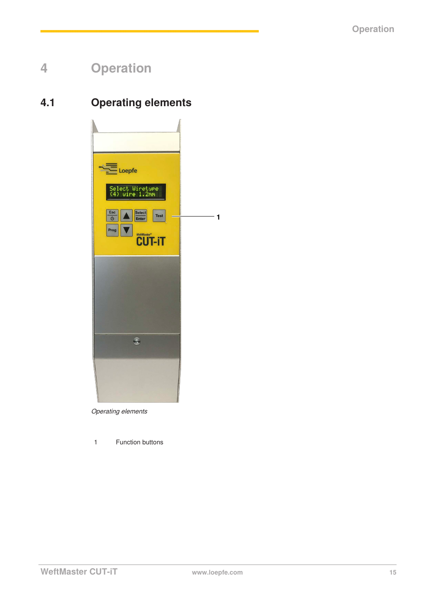## **4 Operation**



## **4.1 Operating elements**

1 Function buttons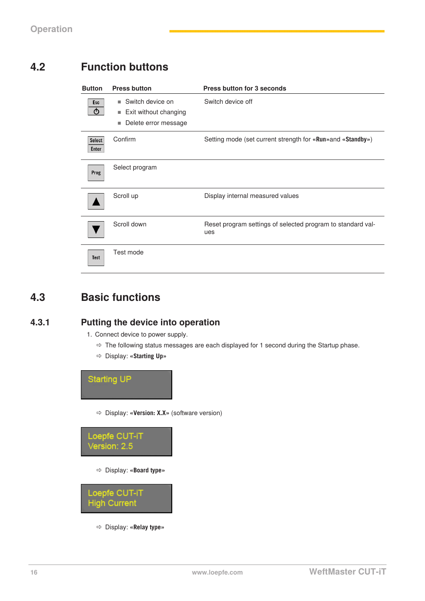## **4.2 Function buttons**

| <b>Button</b>                 | <b>Press button</b>                                                          | <b>Press button for 3 seconds</b>                                  |
|-------------------------------|------------------------------------------------------------------------------|--------------------------------------------------------------------|
| Esc<br>ტ                      | Switch device on<br>m.<br>Exit without changing<br>Delete error message<br>ш | Switch device off                                                  |
| <b>Select</b><br><b>Enter</b> | Confirm                                                                      | Setting mode (set current strength for «Run» and «Standby»)        |
| Prog                          | Select program                                                               |                                                                    |
|                               | Scroll up                                                                    | Display internal measured values                                   |
|                               | Scroll down                                                                  | Reset program settings of selected program to standard val-<br>ues |
| Test                          | Test mode                                                                    |                                                                    |

## **4.3 Basic functions**

### **4.3.1 Putting the device into operation**

- 1. Connect device to power supply.
	- $\Rightarrow$  The following status messages are each displayed for 1 second during the Startup phase.
	- ð Display: **«Starting Up»**

Starting UP

ð Display: **«Version: X.X»** (software version)



ð Display: **«Board type»**



ð Display: **«Relay type»**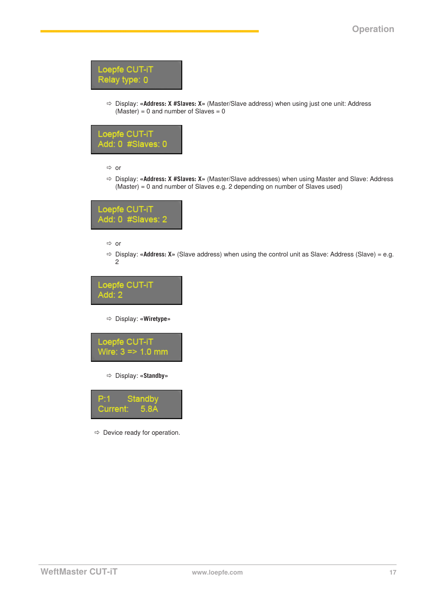

ð Display: **«Address: X #Slaves: X»** (Master/Slave address) when using just one unit: Address  $(Master) = 0$  and number of Slaves = 0



 $\Rightarrow$  or

ð Display: **«Address: X #Slaves: X»** (Master/Slave addresses) when using Master and Slave: Address (Master) = 0 and number of Slaves e.g. 2 depending on number of Slaves used)



 $\Rightarrow$  or

ð Display: **«Address: X»** (Slave address) when using the control unit as Slave: Address (Slave) = e.g. 2



ð Display: **«Wiretype»**

$$
Loepfe CUT-iT
$$
  
Wire: 3 => 1.0 mm

ð Display: **«Standby»**



 $\Rightarrow$  Device ready for operation.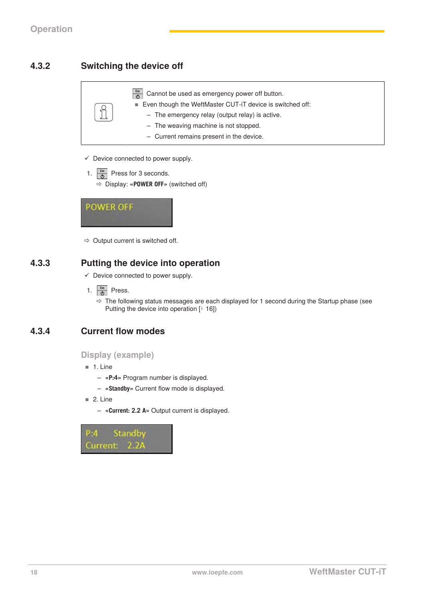### **4.3.2 Switching the device off**



- $\checkmark$  Device connected to power supply.
- 1.  $\boxed{\frac{Es}{\phi}}$  Press for 3 seconds. ð Display: **«POWER OFF»** (switched off)



 $\Rightarrow$  Output current is switched off.

### **4.3.3 Putting the device into operation**

- $\checkmark$  Device connected to power supply.
- 1.  $\boxed{\frac{\text{Esc}}{\phi}}$  Press.
	- $\Rightarrow$  The following status messages are each displayed for 1 second during the Startup phase (see Putting the device into operation [} 16])

### **4.3.4 Current flow modes**

**Display (example)**

- $\blacksquare$  1. Line
	- **«P:4»** Program number is displayed.
	- **«Standby»** Current flow mode is displayed.
- $\blacksquare$  2. Line
	- **«Current: 2.2 A»** Output current is displayed.

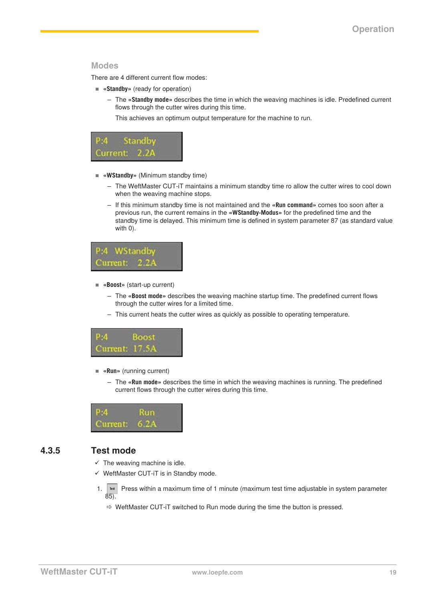#### **Modes**

There are 4 different current flow modes:

- «**Standby**» (ready for operation)
	- The **«Standby mode»** describes the time in which the weaving machines is idle. Predefined current flows through the cutter wires during this time.

This achieves an optimum output temperature for the machine to run.



- «**WStandby**» (Minimum standby time)
	- The WeftMaster CUT-iT maintains a minimum standby time ro allow the cutter wires to cool down when the weaving machine stops.
	- If this minimum standby time is not maintained and the **«Run command»** comes too soon after a previous run, the current remains in the **«WStandby-Modus»** for the predefined time and the standby time is delayed. This minimum time is defined in system parameter 87 (as standard value with 0).

WStandb

- «**Boost**» (start-up current)
	- The **«Boost mode»** describes the weaving machine startup time. The predefined current flows through the cutter wires for a limited time.
	- This current heats the cutter wires as quickly as possible to operating temperature.



- «**Run**» (running current)
	- The **«Run mode»** describes the time in which the weaving machines is running. The predefined current flows through the cutter wires during this time.



### **4.3.5 Test mode**

- $\checkmark$  The weaving machine is idle.
- $\checkmark$  WeftMaster CUT-iT is in Standby mode.
- 1. F<sup>test</sup> Press within a maximum time of 1 minute (maximum test time adjustable in system parameter 85).
	- $\Rightarrow$  WeftMaster CUT-iT switched to Run mode during the time the button is pressed.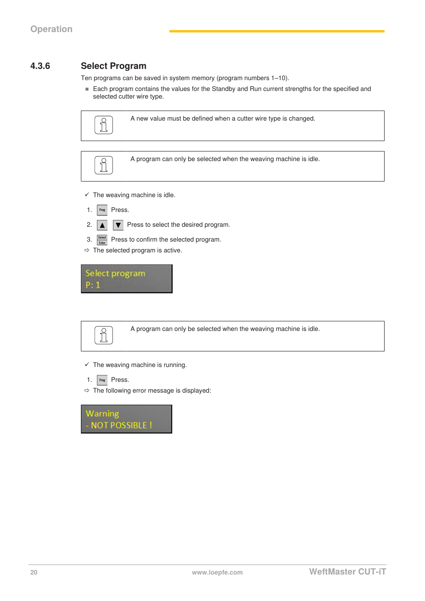### **4.3.6 Select Program**

Ten programs can be saved in system memory (program numbers 1–10).

■ Each program contains the values for the Standby and Run current strengths for the specified and selected cutter wire type.



A new value must be defined when a cutter wire type is changed.



A program can only be selected when the weaving machine is idle.

- $\checkmark$  The weaving machine is idle.
- 1. **Prog** Press.
- 2.  $\boxed{\blacktriangle}$   $\boxed{\blacktriangledown}$  Press to select the desired program.
- 3.  $\frac{S_{\text{elect}}}{\text{Enter}}$  Press to confirm the selected program.
- $\Rightarrow$  The selected program is active.



A program can only be selected when the weaving machine is idle.

 $\checkmark$  The weaving machine is running.

- 1. **Prog** Press.
- $\Rightarrow$  The following error message is displayed:

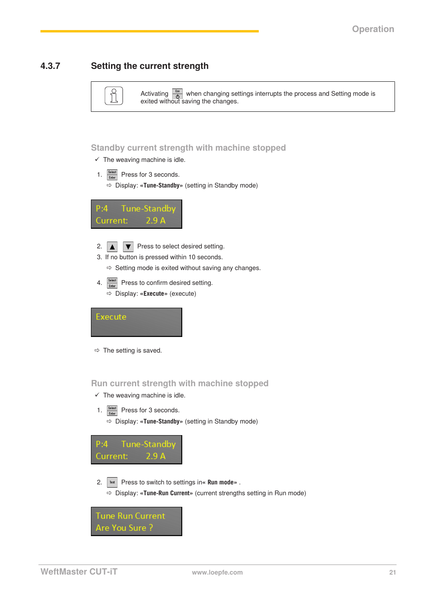### **4.3.7 Setting the current strength**



Activating  $\frac{f_{\text{fss}}}{\Phi}$  when changing settings interrupts the process and Setting mode is exited without saving the changes.

#### **Standby current strength with machine stopped**

 $\checkmark$  The weaving machine is idle.

1.  $\sqrt{\frac{\text{Select}}{\text{Enter}}}$  Press for 3 seconds. ð Display: **«Tune-Standby»** (setting in Standby mode)



- 2.  $\boxed{\blacktriangle}$   $\boxed{\blacktriangledown}$  Press to select desired setting.
- 3. If no button is pressed within 10 seconds.
	- $\Rightarrow$  Setting mode is exited without saving any changes.
- 4.  $\frac{\text{Select}}{\text{Enter}}$  Press to confirm desired setting. ð Display: **«Execute»** (execute)

| Execute |  |
|---------|--|
|---------|--|

 $\Rightarrow$  The setting is saved.

**Run current strength with machine stopped**

- $\checkmark$  The weaving machine is idle.
- 1.  $\frac{\text{Select}}{\text{Enter}}$  Press for 3 seconds. ð Display: **«Tune-Standby»** (setting in Standby mode)

| P:4 Tune-Standby<br>Current: 2.9 A                                                                                                            |  |  |  |  |
|-----------------------------------------------------------------------------------------------------------------------------------------------|--|--|--|--|
| 2.<br>Press to switch to settings in« Run mode».<br>Test<br>$\Rightarrow$ Display: «Tune-Run Current» (current strengths setting in Run mode) |  |  |  |  |
| <b>Tune Run Current</b><br>Are You Sure ?                                                                                                     |  |  |  |  |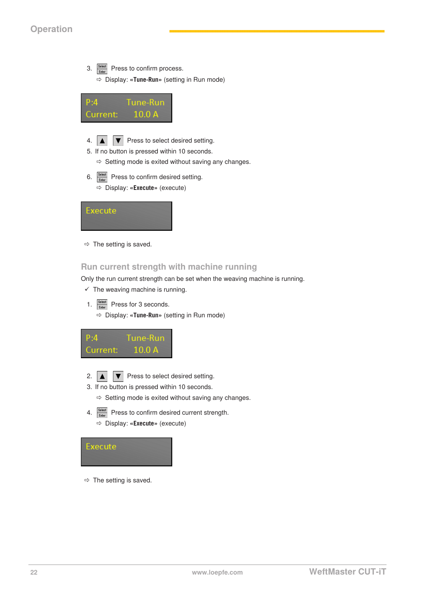- 3.  $\frac{\text{Select}}{\text{Enter}}$  Press to confirm process. ð Display: **«Tune-Run»** (setting in Run mode) **Tune-Run**  $P:4$ Current:  $10.0<sub>l</sub>$ 4.  $\boxed{\blacktriangle}$   $\boxed{\blacktriangledown}$  Press to select desired setting. 5. If no button is pressed within 10 seconds.  $\Rightarrow$  Setting mode is exited without saving any changes. 6.  $\frac{S_{\text{elect}}}{\text{Enter}}$  Press to confirm desired setting. ð Display: **«Execute»** (execute) Execute
- $\Rightarrow$  The setting is saved.

#### **Run current strength with machine running**

Only the run current strength can be set when the weaving machine is running.

- $\checkmark$  The weaving machine is running.
- 1.  $\sqrt{\frac{\text{Select}}{\text{Enter}}}$  Press for 3 seconds. ð Display: **«Tune-Run»** (setting in Run mode)

| P:4      | Tune-Run |
|----------|----------|
| Current: | 10.0 A   |

2.  $\boxed{\blacktriangle}$   $\boxed{\blacktriangledown}$  Press to select desired setting.

3. If no button is pressed within 10 seconds.

 $\Rightarrow$  Setting mode is exited without saving any changes.

4.  $\frac{\text{Select}}{\text{Enter}}$  Press to confirm desired current strength. ð Display: **«Execute»** (execute)



 $\Rightarrow$  The setting is saved.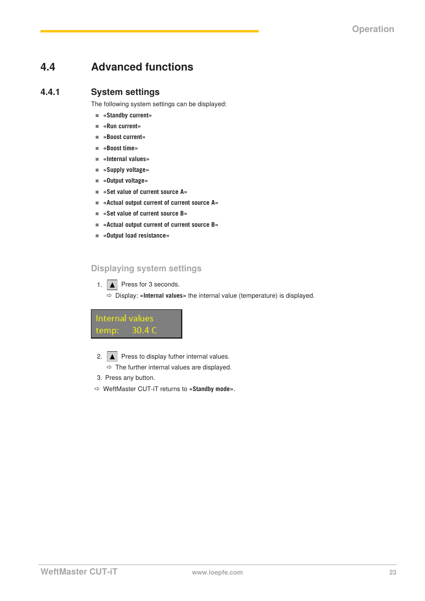### **4.4 Advanced functions**

### **4.4.1 System settings**

The following system settings can be displayed:

- n **«Standby current»**
- n **«Run current»**
- n **«Boost current»**
- n **«Boost time»**
- n **«Internal values»**
- n **«Supply voltage»**
- n **«Output voltage»**
- «Set value of current source A»
- «Actual output current of current source A»
- «Set value of current source B»
- «Actual output current of current source B»
- n **«Output load resistance»**

### **Displaying system settings**

1. **A** Press for 3 seconds.

ð Display: **«Internal values»** the internal value (temperature) is displayed.



- 2.  $\boxed{\blacktriangle}$  Press to display futher internal values.  $\Rightarrow$  The further internal values are displayed.
- 3. Press any button.
- ð WeftMaster CUT-iT returns to **«Standby mode»**.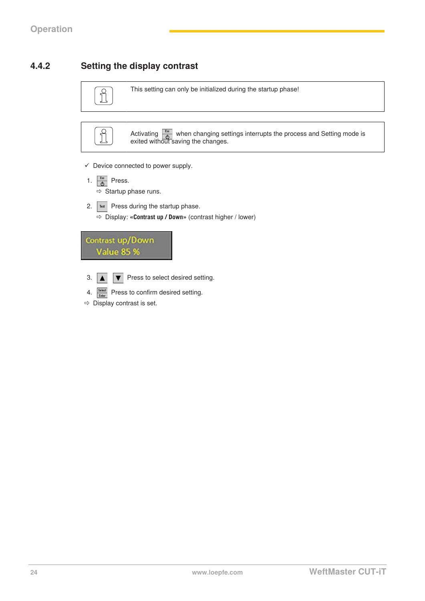### **4.4.2 Setting the display contrast**



- 4.  $\frac{S_{\text{elect}}}{\text{Enter}}$  Press to confirm desired setting.
- $\Rightarrow$  Display contrast is set.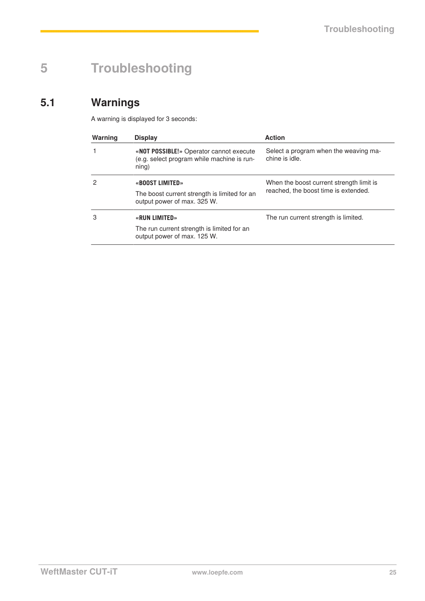## **5 Troubleshooting**

## **5.1 Warnings**

A warning is displayed for 3 seconds:

| Warning       | <b>Display</b>                                                                                          | <b>Action</b>                                                                    |  |
|---------------|---------------------------------------------------------------------------------------------------------|----------------------------------------------------------------------------------|--|
|               | « <b>NOT POSSIBLE!</b> » Operator cannot execute<br>(e.g. select program while machine is run-<br>ning) | Select a program when the weaving ma-<br>chine is idle.                          |  |
| $\mathcal{P}$ | «BOOST LIMITED»<br>The boost current strength is limited for an                                         | When the boost current strength limit is<br>reached, the boost time is extended. |  |
|               | output power of max. 325 W.                                                                             |                                                                                  |  |
| 3             | «RUN LIMITED»                                                                                           | The run current strength is limited.                                             |  |
|               | The run current strength is limited for an<br>output power of max. 125 W.                               |                                                                                  |  |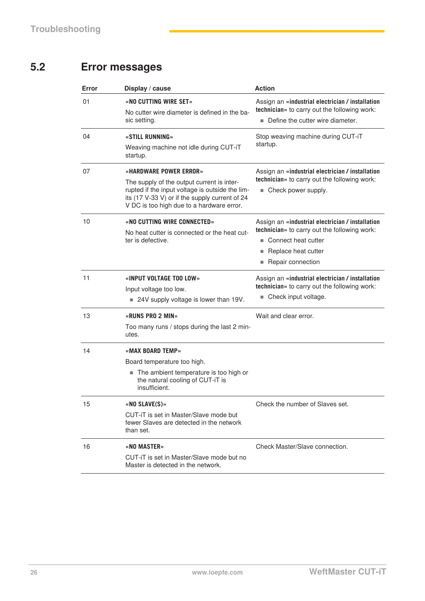## **5.2 Error messages**

| Error | Display / cause                                                                                                                                                                                                        | <b>Action</b>                                                                                                                                                                      |
|-------|------------------------------------------------------------------------------------------------------------------------------------------------------------------------------------------------------------------------|------------------------------------------------------------------------------------------------------------------------------------------------------------------------------------|
| 01    | «NO CUTTING WIRE SET»<br>No cutter wire diameter is defined in the ba-<br>sic setting.                                                                                                                                 | Assign an «industrial electrician / installation<br>technician» to carry out the following work:<br>$\blacksquare$ Define the cutter wire diameter.                                |
| 04    | «STILL RUNNING»<br>Weaving machine not idle during CUT-iT<br>startup.                                                                                                                                                  | Stop weaving machine during CUT-iT<br>startup.                                                                                                                                     |
| 07    | «HARDWARE POWER ERROR»<br>The supply of the output current is inter-<br>rupted if the input voltage is outside the lim-<br>its (17 V-33 V) or if the supply current of 24<br>V DC is too high due to a hardware error. | Assign an «industrial electrician / installation<br>technician» to carry out the following work:<br>■ Check power supply.                                                          |
| 10    | «NO CUTTING WIRE CONNECTED»<br>No heat cutter is connected or the heat cut-<br>ter is defective.                                                                                                                       | Assign an «industrial electrician / installation<br><b>technician</b> » to carry out the following work:<br>■ Connect heat cutter<br>Replace heat cutter<br>Repair connection<br>ш |
| 11    | «INPUT VOLTAGE TOO LOW»<br>Input voltage too low.<br>■ 24V supply voltage is lower than 19V.                                                                                                                           | Assign an «industrial electrician / installation<br>technician» to carry out the following work:<br>Check input voltage.                                                           |
| 13    | «RUNS PRO 2 MIN»<br>Too many runs / stops during the last 2 min-<br>utes.                                                                                                                                              | Wait and clear error.                                                                                                                                                              |
| 14    | «MAX BOARD TEMP»<br>Board temperature too high.<br>The ambient temperature is too high or<br>the natural cooling of CUT-iT is<br>insufficient.                                                                         |                                                                                                                                                                                    |
| 15    | «NO SLAVE(S)»<br>CUT-iT is set in Master/Slave mode but<br>fewer Slaves are detected in the network<br>than set.                                                                                                       | Check the number of Slaves set.                                                                                                                                                    |
| 16    | «NO MASTER»<br>CUT-iT is set in Master/Slave mode but no<br>Master is detected in the network.                                                                                                                         | Check Master/Slave connection.                                                                                                                                                     |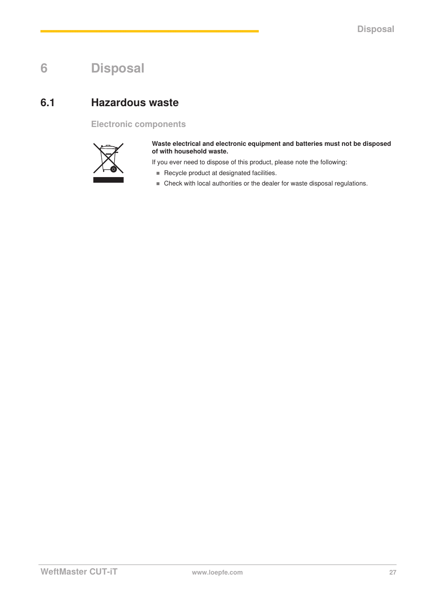## **6 Disposal**

## **6.1 Hazardous waste**

**Electronic components**



#### **Waste electrical and electronic equipment and batteries must not be disposed of with household waste.**

If you ever need to dispose of this product, please note the following:

- Recycle product at designated facilities.
- Check with local authorities or the dealer for waste disposal regulations.